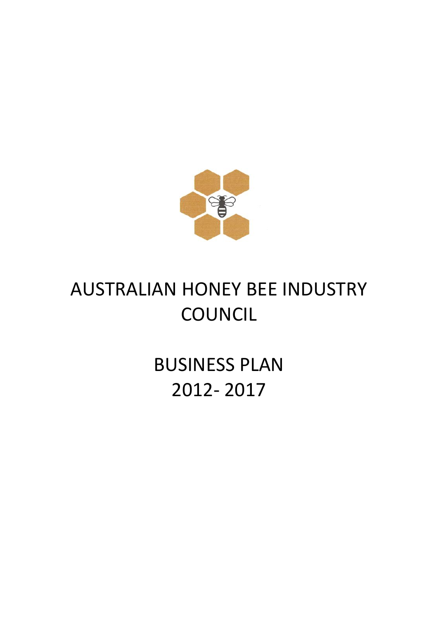

# AUSTRALIAN HONEY BEE INDUSTRY **COUNCIL**

BUSINESS PLAN 2012- 2017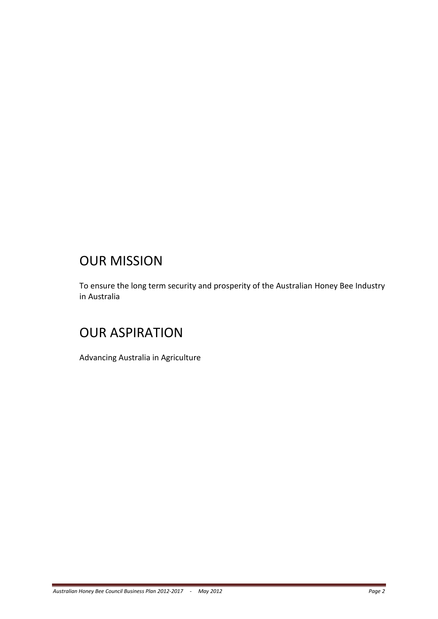# OUR MISSION

To ensure the long term security and prosperity of the Australian Honey Bee Industry in Australia

# OUR ASPIRATION

Advancing Australia in Agriculture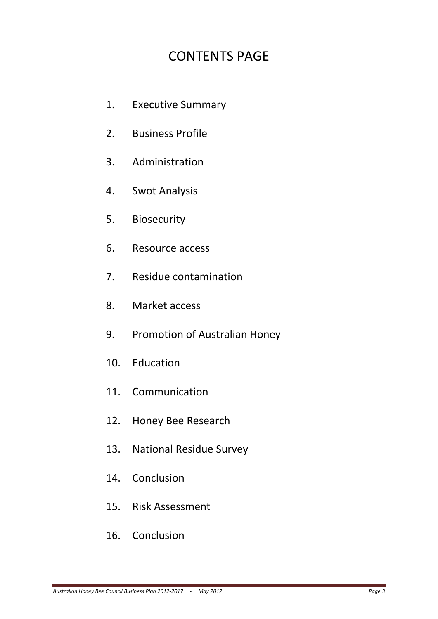# CONTENTS PAGE

- 1. Executive Summary
- 2. Business Profile
- 3. Administration
- 4. Swot Analysis
- 5. Biosecurity
- 6. Resource access
- 7. Residue contamination
- 8. Market access
- 9. Promotion of Australian Honey
- 10. Education
- 11. Communication
- 12. Honey Bee Research
- 13. National Residue Survey
- 14. Conclusion
- 15. Risk Assessment
- 16. Conclusion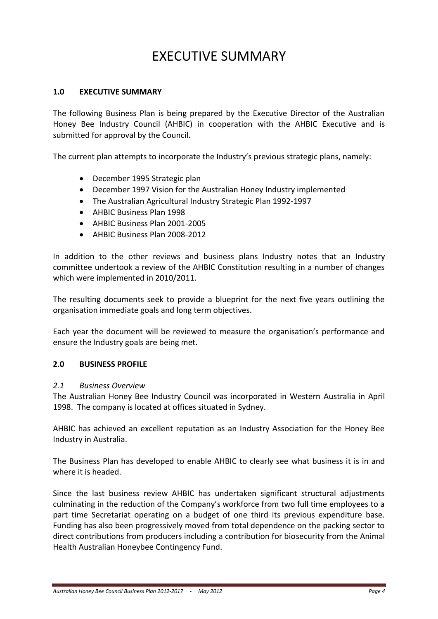# EXECUTIVE SUMMARY

#### **1.0 EXECUTIVE SUMMARY**

The following Business Plan is being prepared by the Executive Director of the Australian Honey Bee Industry Council (AHBIC) in cooperation with the AHBIC Executive and is submitted for approval by the Council.

The current plan attempts to incorporate the Industry's previous strategic plans, namely:

- December 1995 Strategic plan
- December 1997 Vision for the Australian Honey Industry implemented
- The Australian Agricultural Industry Strategic Plan 1992-1997
- AHBIC Business Plan 1998
- AHBIC Business Plan 2001-2005
- AHBIC Business Plan 2008-2012

In addition to the other reviews and business plans Industry notes that an Industry committee undertook a review of the AHBIC Constitution resulting in a number of changes which were implemented in 2010/2011.

The resulting documents seek to provide a blueprint for the next five years outlining the organisation immediate goals and long term objectives.

Each year the document will be reviewed to measure the organisation's performance and ensure the Industry goals are being met.

#### **2.0 BUSINESS PROFILE**

#### *2.1 Business Overview*

The Australian Honey Bee Industry Council was incorporated in Western Australia in April 1998. The company is located at offices situated in Sydney.

AHBIC has achieved an excellent reputation as an Industry Association for the Honey Bee Industry in Australia.

The Business Plan has developed to enable AHBIC to clearly see what business it is in and where it is headed.

Since the last business review AHBIC has undertaken significant structural adjustments culminating in the reduction of the Company's workforce from two full time employees to a part time Secretariat operating on a budget of one third its previous expenditure base. Funding has also been progressively moved from total dependence on the packing sector to direct contributions from producers including a contribution for biosecurity from the Animal Health Australian Honeybee Contingency Fund.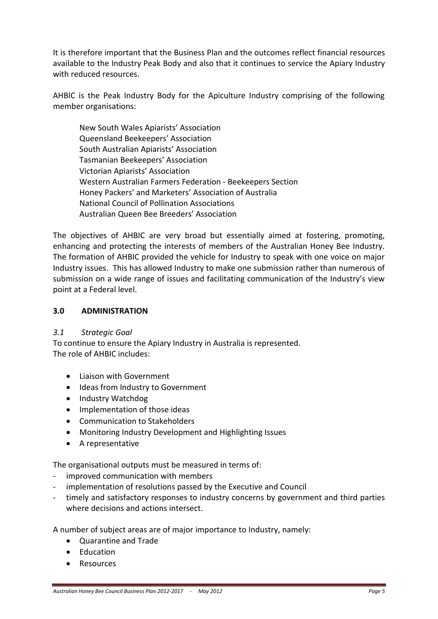It is therefore important that the Business Plan and the outcomes reflect financial resources available to the Industry Peak Body and also that it continues to service the Apiary Industry with reduced resources.

AHBIC is the Peak Industry Body for the Apiculture Industry comprising of the following member organisations:

New South Wales Apiarists' Association Queensland Beekeepers' Association South Australian Apiarists' Association Tasmanian Beekeepers' Association Victorian Apiarists' Association Western Australian Farmers Federation - Beekeepers Section Honey Packers' and Marketers' Association of Australia National Council of Pollination Associations Australian Queen Bee Breeders' Association

The objectives of AHBIC are very broad but essentially aimed at fostering, promoting, enhancing and protecting the interests of members of the Australian Honey Bee Industry. The formation of AHBIC provided the vehicle for Industry to speak with one voice on major Industry issues. This has allowed Industry to make one submission rather than numerous of submission on a wide range of issues and facilitating communication of the Industry's view point at a Federal level.

#### **3.0 ADMINISTRATION**

#### *3.1 Strategic Goal*

To continue to ensure the Apiary Industry in Australia is represented. The role of AHBIC includes:

- **.** Liaison with Government
- Ideas from Industry to Government
- Industry Watchdog
- Implementation of those ideas
- Communication to Stakeholders
- Monitoring Industry Development and Highlighting Issues
- A representative

The organisational outputs must be measured in terms of:

- improved communication with members
- implementation of resolutions passed by the Executive and Council
- timely and satisfactory responses to industry concerns by government and third parties where decisions and actions intersect.

A number of subject areas are of major importance to Industry, namely:

- Quarantine and Trade
- **•** Education
- Resources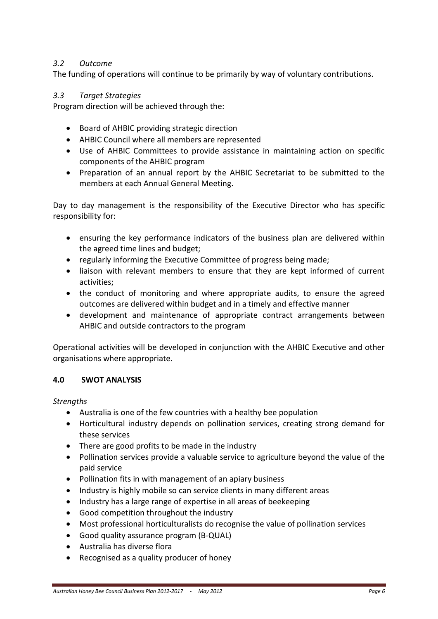### *3.2 Outcome*

The funding of operations will continue to be primarily by way of voluntary contributions.

### *3.3 Target Strategies*

Program direction will be achieved through the:

- Board of AHBIC providing strategic direction
- AHBIC Council where all members are represented
- Use of AHBIC Committees to provide assistance in maintaining action on specific components of the AHBIC program
- Preparation of an annual report by the AHBIC Secretariat to be submitted to the members at each Annual General Meeting.

Day to day management is the responsibility of the Executive Director who has specific responsibility for:

- ensuring the key performance indicators of the business plan are delivered within the agreed time lines and budget;
- regularly informing the Executive Committee of progress being made;
- liaison with relevant members to ensure that they are kept informed of current activities;
- the conduct of monitoring and where appropriate audits, to ensure the agreed outcomes are delivered within budget and in a timely and effective manner
- development and maintenance of appropriate contract arrangements between AHBIC and outside contractors to the program

Operational activities will be developed in conjunction with the AHBIC Executive and other organisations where appropriate.

#### **4.0 SWOT ANALYSIS**

*Strengths*

- Australia is one of the few countries with a healthy bee population
- Horticultural industry depends on pollination services, creating strong demand for these services
- There are good profits to be made in the industry
- Pollination services provide a valuable service to agriculture beyond the value of the paid service
- Pollination fits in with management of an apiary business
- Industry is highly mobile so can service clients in many different areas
- Industry has a large range of expertise in all areas of beekeeping
- Good competition throughout the industry
- Most professional horticulturalists do recognise the value of pollination services
- Good quality assurance program (B-QUAL)
- Australia has diverse flora
- Recognised as a quality producer of honey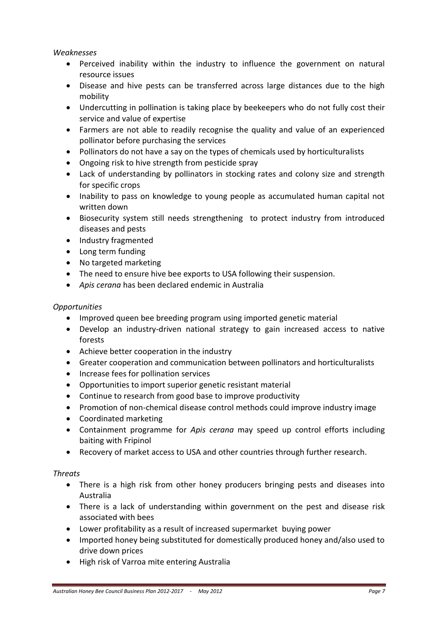#### *Weaknesses*

- Perceived inability within the industry to influence the government on natural resource issues
- Disease and hive pests can be transferred across large distances due to the high mobility
- Undercutting in pollination is taking place by beekeepers who do not fully cost their service and value of expertise
- Farmers are not able to readily recognise the quality and value of an experienced pollinator before purchasing the services
- Pollinators do not have a say on the types of chemicals used by horticulturalists
- Ongoing risk to hive strength from pesticide spray
- Lack of understanding by pollinators in stocking rates and colony size and strength for specific crops
- Inability to pass on knowledge to young people as accumulated human capital not written down
- Biosecurity system still needs strengthening to protect industry from introduced diseases and pests
- Industry fragmented
- Long term funding
- No targeted marketing
- The need to ensure hive bee exports to USA following their suspension.
- *Apis cerana* has been declared endemic in Australia

#### *Opportunities*

- Improved queen bee breeding program using imported genetic material
- Develop an industry-driven national strategy to gain increased access to native forests
- Achieve better cooperation in the industry
- Greater cooperation and communication between pollinators and horticulturalists
- Increase fees for pollination services
- Opportunities to import superior genetic resistant material
- Continue to research from good base to improve productivity
- Promotion of non-chemical disease control methods could improve industry image
- Coordinated marketing
- Containment programme for *Apis cerana* may speed up control efforts including baiting with Fripinol
- Recovery of market access to USA and other countries through further research.

#### *Threats*

- There is a high risk from other honey producers bringing pests and diseases into Australia
- There is a lack of understanding within government on the pest and disease risk associated with bees
- Lower profitability as a result of increased supermarket buying power
- Imported honey being substituted for domestically produced honey and/also used to drive down prices
- High risk of Varroa mite entering Australia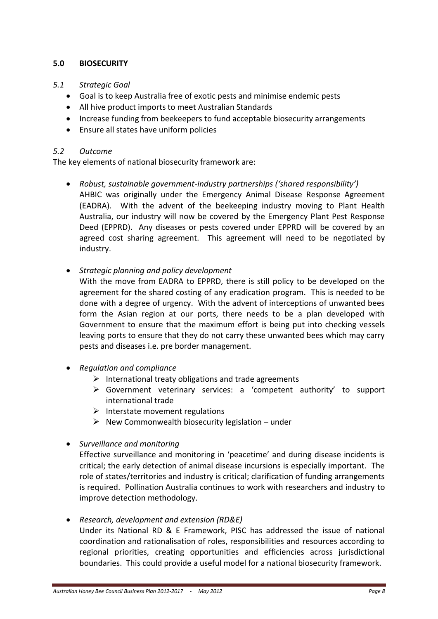### **5.0 BIOSECURITY**

#### *5.1 Strategic Goal*

- Goal is to keep Australia free of exotic pests and minimise endemic pests
- All hive product imports to meet Australian Standards
- Increase funding from beekeepers to fund acceptable biosecurity arrangements
- Ensure all states have uniform policies

#### *5.2 Outcome*

The key elements of national biosecurity framework are:

- *Robust, sustainable government-industry partnerships ('shared responsibility')* AHBIC was originally under the Emergency Animal Disease Response Agreement (EADRA). With the advent of the beekeeping industry moving to Plant Health Australia, our industry will now be covered by the Emergency Plant Pest Response Deed (EPPRD). Any diseases or pests covered under EPPRD will be covered by an agreed cost sharing agreement. This agreement will need to be negotiated by industry.
- *Strategic planning and policy development*

With the move from EADRA to EPPRD, there is still policy to be developed on the agreement for the shared costing of any eradication program. This is needed to be done with a degree of urgency. With the advent of interceptions of unwanted bees form the Asian region at our ports, there needs to be a plan developed with Government to ensure that the maximum effort is being put into checking vessels leaving ports to ensure that they do not carry these unwanted bees which may carry pests and diseases i.e. pre border management.

- *Regulation and compliance*
	- $\triangleright$  International treaty obligations and trade agreements
	- Government veterinary services: a 'competent authority' to support international trade
	- $\triangleright$  Interstate movement regulations
	- $\triangleright$  New Commonwealth biosecurity legislation under
- *Surveillance and monitoring*

Effective surveillance and monitoring in 'peacetime' and during disease incidents is critical; the early detection of animal disease incursions is especially important. The role of states/territories and industry is critical; clarification of funding arrangements is required. Pollination Australia continues to work with researchers and industry to improve detection methodology.

 *Research, development and extension (RD&E)* Under its National RD & E Framework, PISC has addressed the issue of national coordination and rationalisation of roles, responsibilities and resources according to regional priorities, creating opportunities and efficiencies across jurisdictional boundaries. This could provide a useful model for a national biosecurity framework.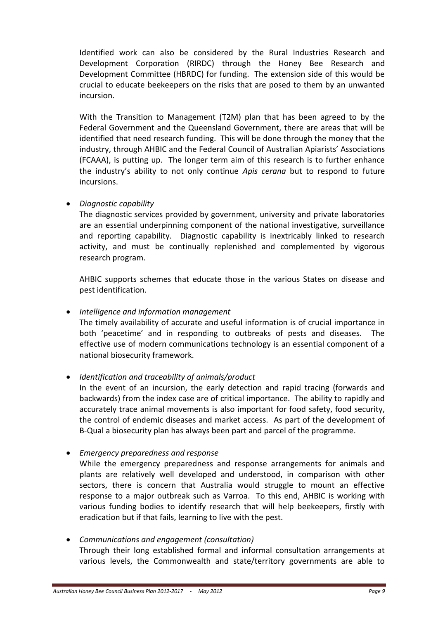Identified work can also be considered by the Rural Industries Research and Development Corporation (RIRDC) through the Honey Bee Research and Development Committee (HBRDC) for funding. The extension side of this would be crucial to educate beekeepers on the risks that are posed to them by an unwanted incursion.

With the Transition to Management (T2M) plan that has been agreed to by the Federal Government and the Queensland Government, there are areas that will be identified that need research funding. This will be done through the money that the industry, through AHBIC and the Federal Council of Australian Apiarists' Associations (FCAAA), is putting up. The longer term aim of this research is to further enhance the industry's ability to not only continue *Apis cerana* but to respond to future incursions.

#### *Diagnostic capability*

The diagnostic services provided by government, university and private laboratories are an essential underpinning component of the national investigative, surveillance and reporting capability. Diagnostic capability is inextricably linked to research activity, and must be continually replenished and complemented by vigorous research program.

AHBIC supports schemes that educate those in the various States on disease and pest identification.

*Intelligence and information management*

The timely availability of accurate and useful information is of crucial importance in both 'peacetime' and in responding to outbreaks of pests and diseases. The effective use of modern communications technology is an essential component of a national biosecurity framework.

*Identification and traceability of animals/product*

In the event of an incursion, the early detection and rapid tracing (forwards and backwards) from the index case are of critical importance. The ability to rapidly and accurately trace animal movements is also important for food safety, food security, the control of endemic diseases and market access. As part of the development of B-Qual a biosecurity plan has always been part and parcel of the programme.

*Emergency preparedness and response*

While the emergency preparedness and response arrangements for animals and plants are relatively well developed and understood, in comparison with other sectors, there is concern that Australia would struggle to mount an effective response to a major outbreak such as Varroa. To this end, AHBIC is working with various funding bodies to identify research that will help beekeepers, firstly with eradication but if that fails, learning to live with the pest.

### *Communications and engagement (consultation)* Through their long established formal and informal consultation arrangements at various levels, the Commonwealth and state/territory governments are able to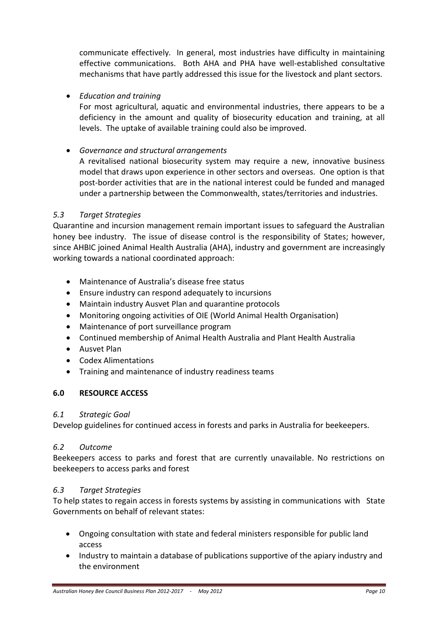communicate effectively. In general, most industries have difficulty in maintaining effective communications. Both AHA and PHA have well-established consultative mechanisms that have partly addressed this issue for the livestock and plant sectors.

#### *Education and training*

For most agricultural, aquatic and environmental industries, there appears to be a deficiency in the amount and quality of biosecurity education and training, at all levels. The uptake of available training could also be improved.

#### *Governance and structural arrangements*

A revitalised national biosecurity system may require a new, innovative business model that draws upon experience in other sectors and overseas. One option is that post-border activities that are in the national interest could be funded and managed under a partnership between the Commonwealth, states/territories and industries.

#### *5.3 Target Strategies*

Quarantine and incursion management remain important issues to safeguard the Australian honey bee industry. The issue of disease control is the responsibility of States; however, since AHBIC joined Animal Health Australia (AHA), industry and government are increasingly working towards a national coordinated approach:

- Maintenance of Australia's disease free status
- Ensure industry can respond adequately to incursions
- Maintain industry Ausvet Plan and quarantine protocols
- Monitoring ongoing activities of OIE (World Animal Health Organisation)
- Maintenance of port surveillance program
- Continued membership of Animal Health Australia and Plant Health Australia
- Ausvet Plan
- Codex Alimentations
- Training and maintenance of industry readiness teams

#### **6.0 RESOURCE ACCESS**

#### *6.1 Strategic Goal*

Develop guidelines for continued access in forests and parks in Australia for beekeepers.

#### *6.2 Outcome*

Beekeepers access to parks and forest that are currently unavailable. No restrictions on beekeepers to access parks and forest

#### *6.3 Target Strategies*

To help states to regain access in forests systems by assisting in communications with State Governments on behalf of relevant states:

- Ongoing consultation with state and federal ministers responsible for public land access
- Industry to maintain a database of publications supportive of the apiary industry and the environment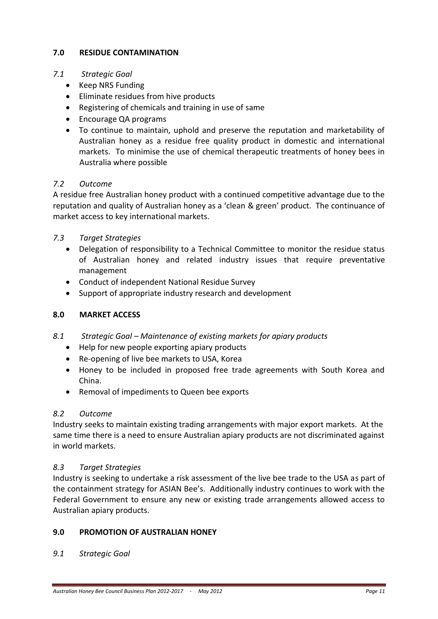#### **7.0 RESIDUE CONTAMINATION**

#### *7.1 Strategic Goal*

- Keep NRS Funding
- Eliminate residues from hive products
- Registering of chemicals and training in use of same
- Encourage QA programs
- To continue to maintain, uphold and preserve the reputation and marketability of Australian honey as a residue free quality product in domestic and international markets. To minimise the use of chemical therapeutic treatments of honey bees in Australia where possible

#### *7.2 Outcome*

A residue free Australian honey product with a continued competitive advantage due to the reputation and quality of Australian honey as a 'clean & green' product. The continuance of market access to key international markets.

#### *7.3 Target Strategies*

- Delegation of responsibility to a Technical Committee to monitor the residue status of Australian honey and related industry issues that require preventative management
- Conduct of independent National Residue Survey
- Support of appropriate industry research and development

#### **8.0 MARKET ACCESS**

- *8.1 Strategic Goal – Maintenance of existing markets for apiary products*
	- Help for new people exporting apiary products
	- Re-opening of live bee markets to USA, Korea
	- Honey to be included in proposed free trade agreements with South Korea and China.
	- Removal of impediments to Queen bee exports

#### *8.2 Outcome*

Industry seeks to maintain existing trading arrangements with major export markets. At the same time there is a need to ensure Australian apiary products are not discriminated against in world markets.

#### *8.3 Target Strategies*

Industry is seeking to undertake a risk assessment of the live bee trade to the USA as part of the containment strategy for ASIAN Bee's. Additionally industry continues to work with the Federal Government to ensure any new or existing trade arrangements allowed access to Australian apiary products.

#### **9.0 PROMOTION OF AUSTRALIAN HONEY**

*9.1 Strategic Goal*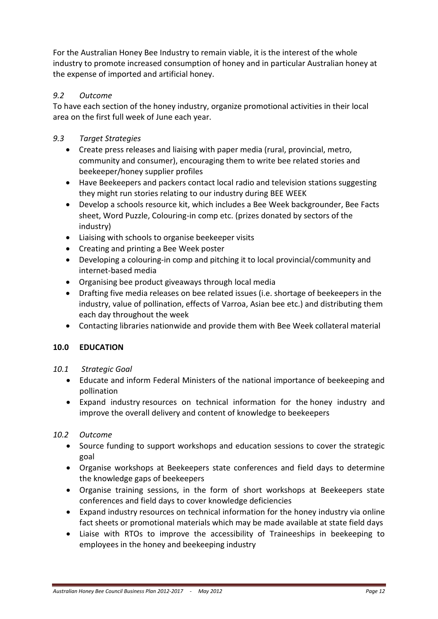For the Australian Honey Bee Industry to remain viable, it is the interest of the whole industry to promote increased consumption of honey and in particular Australian honey at the expense of imported and artificial honey.

### *9.2 Outcome*

To have each section of the honey industry, organize promotional activities in their local area on the first full week of June each year.

### *9.3 Target Strategies*

- Create press releases and liaising with paper media (rural, provincial, metro, community and consumer), encouraging them to write bee related stories and beekeeper/honey supplier profiles
- Have Beekeepers and packers contact local radio and television stations suggesting they might run stories relating to our industry during BEE WEEK
- Develop a schools resource kit, which includes a Bee Week backgrounder, Bee Facts sheet, Word Puzzle, Colouring-in comp etc. (prizes donated by sectors of the industry)
- Liaising with schools to organise beekeeper visits
- Creating and printing a Bee Week poster
- Developing a colouring-in comp and pitching it to local provincial/community and internet-based media
- Organising bee product giveaways through local media
- Drafting five media releases on bee related issues (i.e. shortage of beekeepers in the industry, value of pollination, effects of Varroa, Asian bee etc.) and distributing them each day throughout the week
- Contacting libraries nationwide and provide them with Bee Week collateral material

#### **10.0 EDUCATION**

- *10.1 Strategic Goal*
	- Educate and inform Federal Ministers of the national importance of beekeeping and pollination
	- Expand industry resources on technical information for the honey industry and improve the overall delivery and content of knowledge to beekeepers

#### *10.2 Outcome*

- Source funding to support workshops and education sessions to cover the strategic goal
- Organise workshops at Beekeepers state conferences and field days to determine the knowledge gaps of beekeepers
- Organise training sessions, in the form of short workshops at Beekeepers state conferences and field days to cover knowledge deficiencies
- Expand industry resources on technical information for the honey industry via online fact sheets or promotional materials which may be made available at state field days
- Liaise with RTOs to improve the accessibility of Traineeships in beekeeping to employees in the honey and beekeeping industry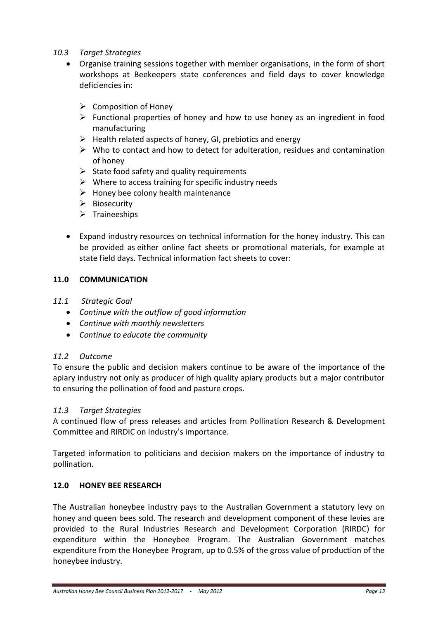- *10.3 Target Strategies*
	- Organise training sessions together with member organisations, in the form of short workshops at Beekeepers state conferences and field days to cover knowledge deficiencies in:
		- $\triangleright$  Composition of Honey
		- $\triangleright$  Functional properties of honey and how to use honey as an ingredient in food manufacturing
		- $\triangleright$  Health related aspects of honey, GI, prebiotics and energy
		- $\triangleright$  Who to contact and how to detect for adulteration, residues and contamination of honey
		- $\triangleright$  State food safety and quality requirements
		- $\triangleright$  Where to access training for specific industry needs
		- $\triangleright$  Honey bee colony health maintenance
		- $\triangleright$  Biosecurity
		- $\triangleright$  Traineeships
	- Expand industry resources on technical information for the honey industry. This can be provided as either online fact sheets or promotional materials, for example at state field days. Technical information fact sheets to cover:

#### **11.0 COMMUNICATION**

- *11.1 Strategic Goal*
	- *Continue with the outflow of good information*
	- *Continue with monthly newsletters*
	- *Continue to educate the community*

#### *11.2 Outcome*

To ensure the public and decision makers continue to be aware of the importance of the apiary industry not only as producer of high quality apiary products but a major contributor to ensuring the pollination of food and pasture crops.

#### *11.3 Target Strategies*

A continued flow of press releases and articles from Pollination Research & Development Committee and RIRDIC on industry's importance.

Targeted information to politicians and decision makers on the importance of industry to pollination.

#### **12.0 HONEY BEE RESEARCH**

The Australian honeybee industry pays to the Australian Government a statutory levy on honey and queen bees sold. The research and development component of these levies are provided to the Rural Industries Research and Development Corporation (RIRDC) for expenditure within the Honeybee Program. The Australian Government matches expenditure from the Honeybee Program, up to 0.5% of the gross value of production of the honeybee industry.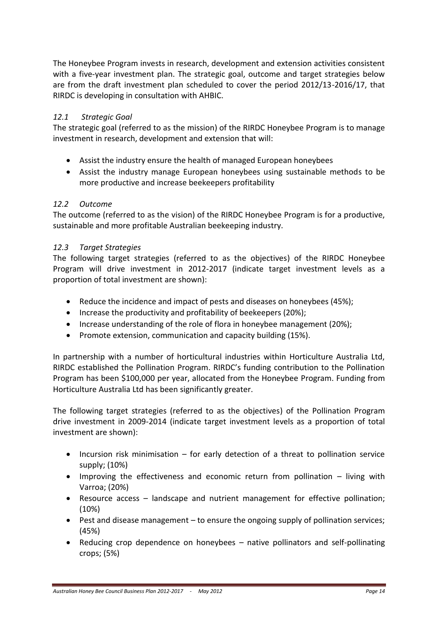The Honeybee Program invests in research, development and extension activities consistent with a five-year investment plan. The strategic goal, outcome and target strategies below are from the draft investment plan scheduled to cover the period 2012/13-2016/17, that RIRDC is developing in consultation with AHBIC.

#### *12.1 Strategic Goal*

The strategic goal (referred to as the mission) of the RIRDC Honeybee Program is to manage investment in research, development and extension that will:

- Assist the industry ensure the health of managed European honeybees
- Assist the industry manage European honeybees using sustainable methods to be more productive and increase beekeepers profitability

#### *12.2 Outcome*

The outcome (referred to as the vision) of the RIRDC Honeybee Program is for a productive, sustainable and more profitable Australian beekeeping industry.

#### *12.3 Target Strategies*

The following target strategies (referred to as the objectives) of the RIRDC Honeybee Program will drive investment in 2012-2017 (indicate target investment levels as a proportion of total investment are shown):

- Reduce the incidence and impact of pests and diseases on honeybees (45%);
- Increase the productivity and profitability of beekeepers (20%);
- Increase understanding of the role of flora in honeybee management (20%);
- Promote extension, communication and capacity building (15%).

In partnership with a number of horticultural industries within Horticulture Australia Ltd, RIRDC established the Pollination Program. RIRDC's funding contribution to the Pollination Program has been \$100,000 per year, allocated from the Honeybee Program. Funding from Horticulture Australia Ltd has been significantly greater.

The following target strategies (referred to as the objectives) of the Pollination Program drive investment in 2009-2014 (indicate target investment levels as a proportion of total investment are shown):

- Incursion risk minimisation for early detection of a threat to pollination service supply; (10%)
- Improving the effectiveness and economic return from pollination living with Varroa; (20%)
- Resource access landscape and nutrient management for effective pollination; (10%)
- Pest and disease management to ensure the ongoing supply of pollination services; (45%)
- Reducing crop dependence on honeybees native pollinators and self-pollinating crops; (5%)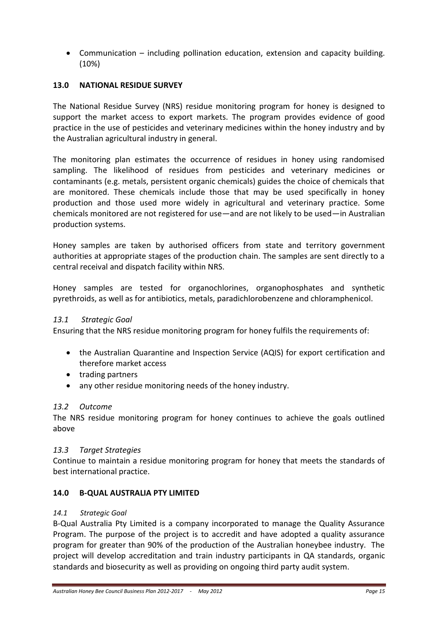Communication – including pollination education, extension and capacity building. (10%)

### **13.0 NATIONAL RESIDUE SURVEY**

The National Residue Survey (NRS) residue monitoring program for honey is designed to support the market access to export markets. The program provides evidence of good practice in the use of pesticides and veterinary medicines within the honey industry and by the Australian agricultural industry in general.

The monitoring plan estimates the occurrence of residues in honey using randomised sampling. The likelihood of residues from pesticides and veterinary medicines or contaminants (e.g. metals, persistent organic chemicals) guides the choice of chemicals that are monitored. These chemicals include those that may be used specifically in honey production and those used more widely in agricultural and veterinary practice. Some chemicals monitored are not registered for use—and are not likely to be used—in Australian production systems.

Honey samples are taken by authorised officers from state and territory government authorities at appropriate stages of the production chain. The samples are sent directly to a central receival and dispatch facility within NRS.

Honey samples are tested for organochlorines, organophosphates and synthetic pyrethroids, as well as for antibiotics, metals, paradichlorobenzene and chloramphenicol.

#### *13.1 Strategic Goal*

Ensuring that the NRS residue monitoring program for honey fulfils the requirements of:

- the Australian Quarantine and Inspection Service (AQIS) for export certification and therefore market access
- trading partners
- any other residue monitoring needs of the honey industry.

#### *13.2 Outcome*

The NRS residue monitoring program for honey continues to achieve the goals outlined above

#### *13.3 Target Strategies*

Continue to maintain a residue monitoring program for honey that meets the standards of best international practice.

#### **14.0 B-QUAL AUSTRALIA PTY LIMITED**

#### *14.1 Strategic Goal*

B-Qual Australia Pty Limited is a company incorporated to manage the Quality Assurance Program. The purpose of the project is to accredit and have adopted a quality assurance program for greater than 90% of the production of the Australian honeybee industry. The project will develop accreditation and train industry participants in QA standards, organic standards and biosecurity as well as providing on ongoing third party audit system.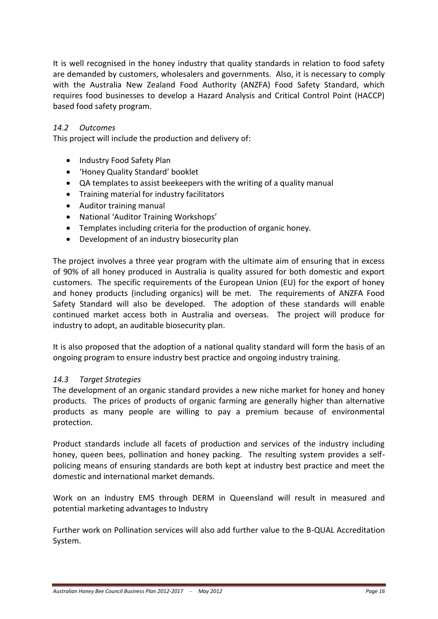It is well recognised in the honey industry that quality standards in relation to food safety are demanded by customers, wholesalers and governments. Also, it is necessary to comply with the Australia New Zealand Food Authority (ANZFA) Food Safety Standard, which requires food businesses to develop a Hazard Analysis and Critical Control Point (HACCP) based food safety program.

#### *14.2 Outcomes*

This project will include the production and delivery of:

- Industry Food Safety Plan
- 'Honey Quality Standard' booklet
- QA templates to assist beekeepers with the writing of a quality manual
- Training material for industry facilitators
- Auditor training manual
- National 'Auditor Training Workshops'
- Templates including criteria for the production of organic honey.
- Development of an industry biosecurity plan

The project involves a three year program with the ultimate aim of ensuring that in excess of 90% of all honey produced in Australia is quality assured for both domestic and export customers. The specific requirements of the European Union (EU) for the export of honey and honey products (including organics) will be met. The requirements of ANZFA Food Safety Standard will also be developed. The adoption of these standards will enable continued market access both in Australia and overseas. The project will produce for industry to adopt, an auditable biosecurity plan.

It is also proposed that the adoption of a national quality standard will form the basis of an ongoing program to ensure industry best practice and ongoing industry training.

#### *14.3 Target Strategies*

The development of an organic standard provides a new niche market for honey and honey products. The prices of products of organic farming are generally higher than alternative products as many people are willing to pay a premium because of environmental protection.

Product standards include all facets of production and services of the industry including honey, queen bees, pollination and honey packing. The resulting system provides a selfpolicing means of ensuring standards are both kept at industry best practice and meet the domestic and international market demands.

Work on an Industry EMS through DERM in Queensland will result in measured and potential marketing advantages to Industry

Further work on Pollination services will also add further value to the B-QUAL Accreditation System.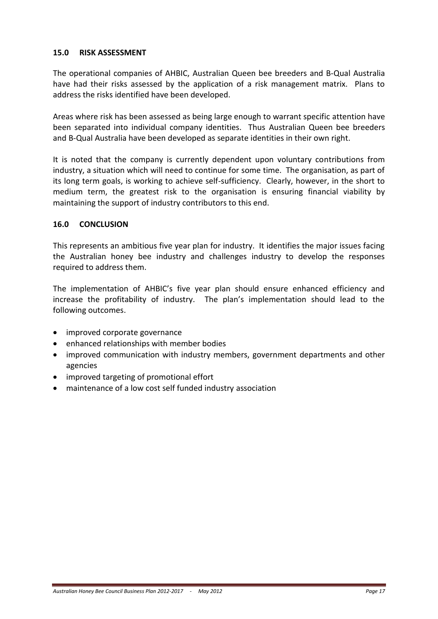#### **15.0 RISK ASSESSMENT**

The operational companies of AHBIC, Australian Queen bee breeders and B-Qual Australia have had their risks assessed by the application of a risk management matrix. Plans to address the risks identified have been developed.

Areas where risk has been assessed as being large enough to warrant specific attention have been separated into individual company identities. Thus Australian Queen bee breeders and B-Qual Australia have been developed as separate identities in their own right.

It is noted that the company is currently dependent upon voluntary contributions from industry, a situation which will need to continue for some time. The organisation, as part of its long term goals, is working to achieve self-sufficiency. Clearly, however, in the short to medium term, the greatest risk to the organisation is ensuring financial viability by maintaining the support of industry contributors to this end.

#### **16.0 CONCLUSION**

This represents an ambitious five year plan for industry. It identifies the major issues facing the Australian honey bee industry and challenges industry to develop the responses required to address them.

The implementation of AHBIC's five year plan should ensure enhanced efficiency and increase the profitability of industry. The plan's implementation should lead to the following outcomes.

- improved corporate governance
- enhanced relationships with member bodies
- improved communication with industry members, government departments and other agencies
- improved targeting of promotional effort
- maintenance of a low cost self funded industry association